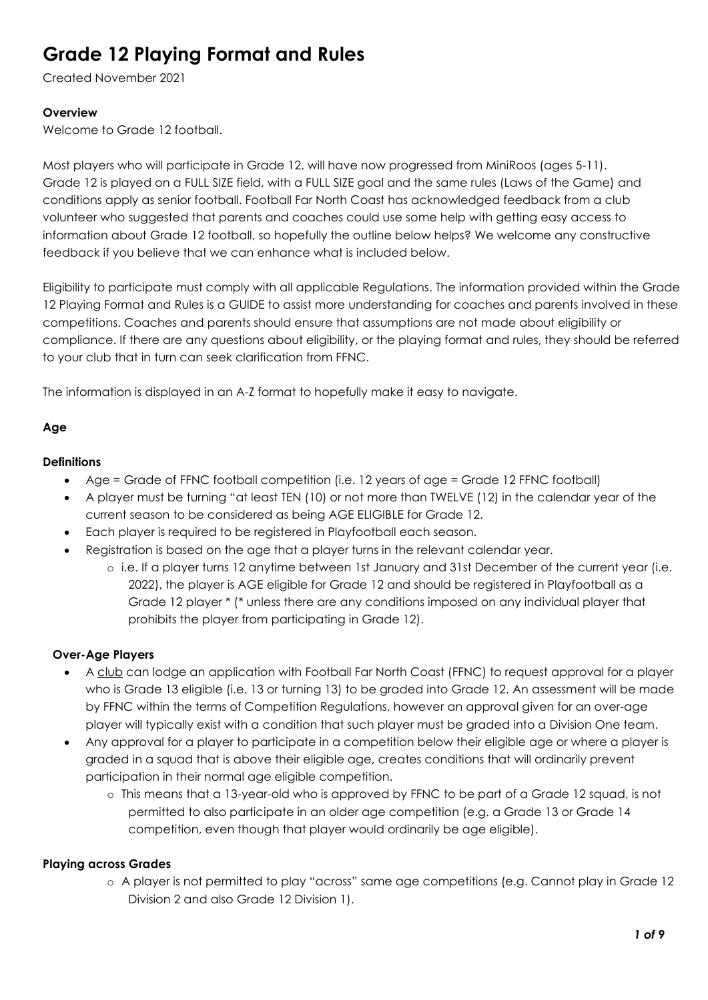Created November 2021

## **Overview**

Welcome to Grade 12 football.

Most players who will participate in Grade 12, will have now progressed from MiniRoos (ages 5-11). Grade 12 is played on a FULL SIZE field, with a FULL SIZE goal and the same rules (Laws of the Game) and conditions apply as senior football. Football Far North Coast has acknowledged feedback from a club volunteer who suggested that parents and coaches could use some help with getting easy access to information about Grade 12 football, so hopefully the outline below helps? We welcome any constructive feedback if you believe that we can enhance what is included below.

Eligibility to participate must comply with all applicable Regulations. The information provided within the Grade 12 Playing Format and Rules is a GUIDE to assist more understanding for coaches and parents involved in these competitions. Coaches and parents should ensure that assumptions are not made about eligibility or compliance. If there are any questions about eligibility, or the playing format and rules, they should be referred to your club that in turn can seek clarification from FFNC.

The information is displayed in an A-Z format to hopefully make it easy to navigate.

# Age

## **Definitions**

- Age = Grade of FFNC football competition (i.e. 12 years of age = Grade 12 FFNC football)
- A player must be turning "at least TEN (10) or not more than TWELVE (12) in the calendar year of the current season to be considered as being AGE ELIGIBLE for Grade 12.
- Each player is required to be registered in Playfootball each season.
- Registration is based on the age that a player turns in the relevant calendar year.
	- o i.e. If a player turns 12 anytime between 1st January and 31st December of the current year (i.e. 2022), the player is AGE eligible for Grade 12 and should be registered in Playfootball as a Grade 12 player \* (\* unless there are any conditions imposed on any individual player that prohibits the player from participating in Grade 12).

# Over-Age Players

- A club can lodge an application with Football Far North Coast (FFNC) to request approval for a player who is Grade 13 eligible (i.e. 13 or turning 13) to be graded into Grade 12. An assessment will be made by FFNC within the terms of Competition Regulations, however an approval given for an over-age player will typically exist with a condition that such player must be graded into a Division One team.
- Any approval for a player to participate in a competition below their eligible age or where a player is graded in a squad that is above their eligible age, creates conditions that will ordinarily prevent participation in their normal age eligible competition.
	- o This means that a 13-year-old who is approved by FFNC to be part of a Grade 12 squad, is not permitted to also participate in an older age competition (e.g. a Grade 13 or Grade 14 competition, even though that player would ordinarily be age eligible).

### Playing across Grades

o A player is not permitted to play "across" same age competitions (e.g. Cannot play in Grade 12 Division 2 and also Grade 12 Division 1).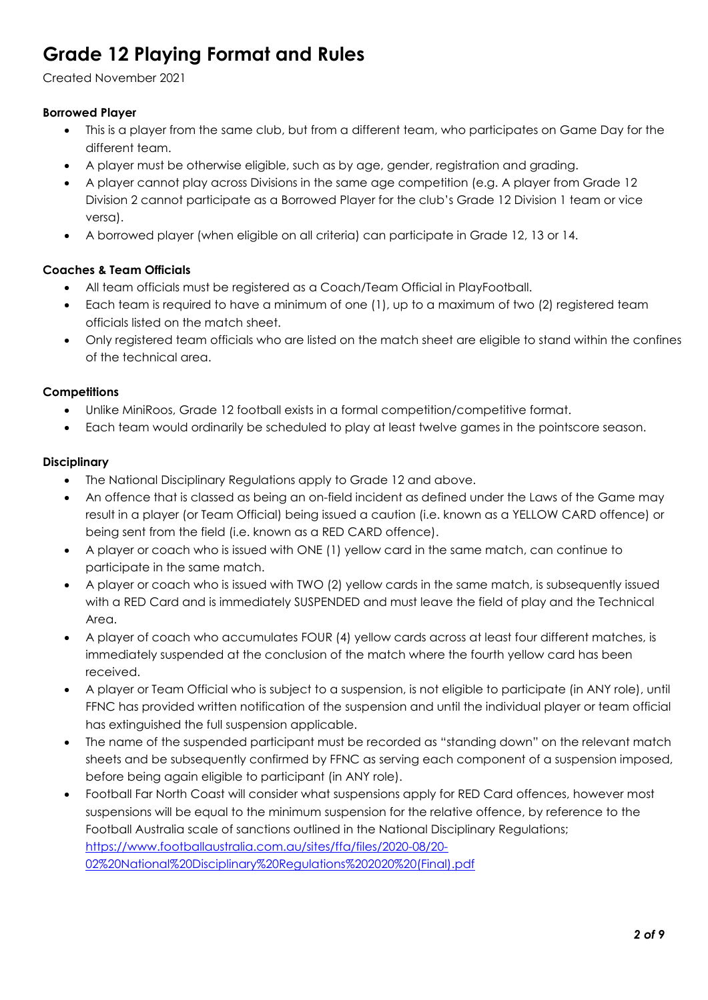Created November 2021

## Borrowed Player

- This is a player from the same club, but from a different team, who participates on Game Day for the different team.
- A player must be otherwise eligible, such as by age, gender, registration and grading.
- A player cannot play across Divisions in the same age competition (e.g. A player from Grade 12 Division 2 cannot participate as a Borrowed Player for the club's Grade 12 Division 1 team or vice versa).
- A borrowed player (when eligible on all criteria) can participate in Grade 12, 13 or 14.

## Coaches & Team Officials

- All team officials must be registered as a Coach/Team Official in PlayFootball.
- Each team is required to have a minimum of one (1), up to a maximum of two (2) registered team officials listed on the match sheet.
- Only registered team officials who are listed on the match sheet are eligible to stand within the confines of the technical area.

### **Competitions**

- Unlike MiniRoos, Grade 12 football exists in a formal competition/competitive format.
- Each team would ordinarily be scheduled to play at least twelve games in the pointscore season.

#### **Disciplinary**

- The National Disciplinary Regulations apply to Grade 12 and above.
- An offence that is classed as being an on-field incident as defined under the Laws of the Game may result in a player (or Team Official) being issued a caution (i.e. known as a YELLOW CARD offence) or being sent from the field (i.e. known as a RED CARD offence).
- A player or coach who is issued with ONE (1) yellow card in the same match, can continue to participate in the same match.
- A player or coach who is issued with TWO (2) yellow cards in the same match, is subsequently issued with a RED Card and is immediately SUSPENDED and must leave the field of play and the Technical Area.
- A player of coach who accumulates FOUR (4) yellow cards across at least four different matches, is immediately suspended at the conclusion of the match where the fourth yellow card has been received.
- A player or Team Official who is subject to a suspension, is not eligible to participate (in ANY role), until FFNC has provided written notification of the suspension and until the individual player or team official has extinguished the full suspension applicable.
- The name of the suspended participant must be recorded as "standing down" on the relevant match sheets and be subsequently confirmed by FFNC as serving each component of a suspension imposed, before being again eligible to participant (in ANY role).
- Football Far North Coast will consider what suspensions apply for RED Card offences, however most suspensions will be equal to the minimum suspension for the relative offence, by reference to the Football Australia scale of sanctions outlined in the National Disciplinary Regulations; https://www.footballaustralia.com.au/sites/ffa/files/2020-08/20- 02%20National%20Disciplinary%20Regulations%202020%20(Final).pdf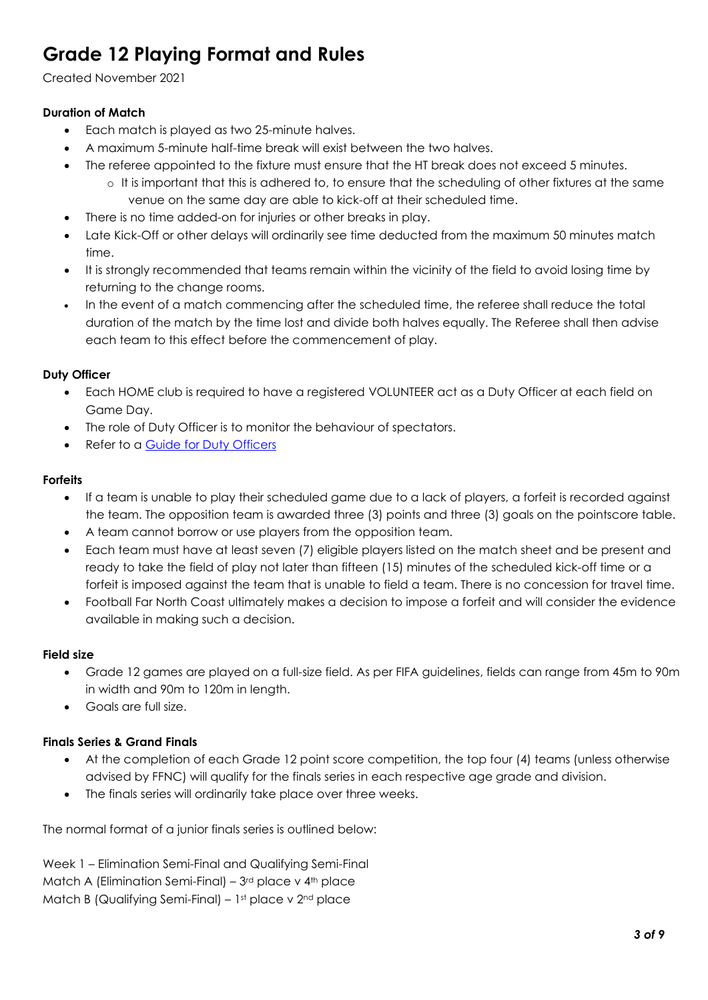Created November 2021

# Duration of Match

- Each match is played as two 25-minute halves.
- A maximum 5-minute half-time break will exist between the two halves.
- The referee appointed to the fixture must ensure that the HT break does not exceed 5 minutes.
	- o It is important that this is adhered to, to ensure that the scheduling of other fixtures at the same venue on the same day are able to kick-off at their scheduled time.
- There is no time added-on for injuries or other breaks in play.
- Late Kick-Off or other delays will ordinarily see time deducted from the maximum 50 minutes match time.
- It is strongly recommended that teams remain within the vicinity of the field to avoid losing time by returning to the change rooms.
- In the event of a match commencing after the scheduled time, the referee shall reduce the total duration of the match by the time lost and divide both halves equally. The Referee shall then advise each team to this effect before the commencement of play.

## Duty Officer

- Each HOME club is required to have a registered VOLUNTEER act as a Duty Officer at each field on Game Day.
- The role of Duty Officer is to monitor the behaviour of spectators.
- Refer to a Guide for Duty Officers

### Forfeits

- If a team is unable to play their scheduled game due to a lack of players, a forfeit is recorded against the team. The opposition team is awarded three (3) points and three (3) goals on the pointscore table.
- A team cannot borrow or use players from the opposition team.
- Each team must have at least seven (7) eligible players listed on the match sheet and be present and ready to take the field of play not later than fifteen (15) minutes of the scheduled kick-off time or a forfeit is imposed against the team that is unable to field a team. There is no concession for travel time.
- Football Far North Coast ultimately makes a decision to impose a forfeit and will consider the evidence available in making such a decision.

### Field size

- Grade 12 games are played on a full-size field. As per FIFA guidelines, fields can range from 45m to 90m in width and 90m to 120m in length.
- Goals are full size.

# Finals Series & Grand Finals

- At the completion of each Grade 12 point score competition, the top four (4) teams (unless otherwise advised by FFNC) will qualify for the finals series in each respective age grade and division.
- The finals series will ordinarily take place over three weeks.

The normal format of a junior finals series is outlined below:

Week 1 – Elimination Semi-Final and Qualifying Semi-Final Match A (Elimination Semi-Final) –  $3<sup>rd</sup>$  place v  $4<sup>th</sup>$  place Match B (Qualifying Semi-Final) – 1st place v 2nd place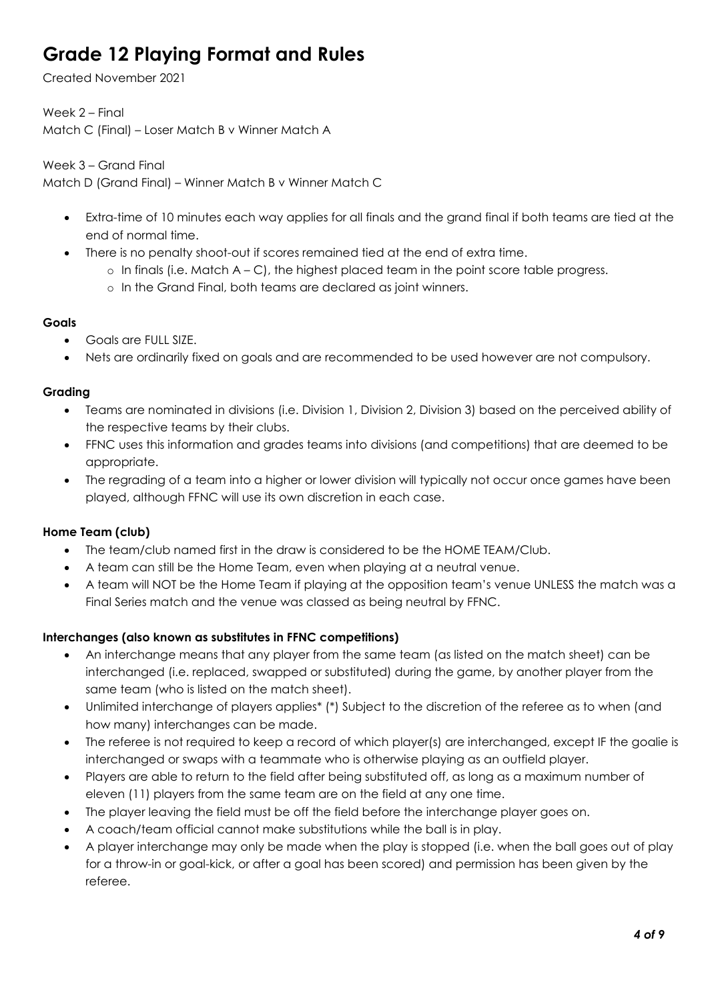Created November 2021

Week 2 – Final Match C (Final) – Loser Match B v Winner Match A

Week 3 – Grand Final

Match D (Grand Final) – Winner Match B v Winner Match C

- Extra-time of 10 minutes each way applies for all finals and the grand final if both teams are tied at the end of normal time.
- There is no penalty shoot-out if scores remained tied at the end of extra time.
	- $\circ$  In finals (i.e. Match A C), the highest placed team in the point score table progress.
	- o In the Grand Final, both teams are declared as joint winners.

# **Goals**

- Goals are FULL SIZE.
- Nets are ordinarily fixed on goals and are recommended to be used however are not compulsory.

## Grading

- Teams are nominated in divisions (i.e. Division 1, Division 2, Division 3) based on the perceived ability of the respective teams by their clubs.
- FFNC uses this information and grades teams into divisions (and competitions) that are deemed to be appropriate.
- The regrading of a team into a higher or lower division will typically not occur once games have been played, although FFNC will use its own discretion in each case.

# Home Team (club)

- The team/club named first in the draw is considered to be the HOME TEAM/Club.
- A team can still be the Home Team, even when playing at a neutral venue.
- A team will NOT be the Home Team if playing at the opposition team's venue UNLESS the match was a Final Series match and the venue was classed as being neutral by FFNC.

# Interchanges (also known as substitutes in FFNC competitions)

- An interchange means that any player from the same team (as listed on the match sheet) can be interchanged (i.e. replaced, swapped or substituted) during the game, by another player from the same team (who is listed on the match sheet).
- Unlimited interchange of players applies\* (\*) Subject to the discretion of the referee as to when (and how many) interchanges can be made.
- The referee is not required to keep a record of which player(s) are interchanged, except IF the goalie is interchanged or swaps with a teammate who is otherwise playing as an outfield player.
- Players are able to return to the field after being substituted off, as long as a maximum number of eleven (11) players from the same team are on the field at any one time.
- The player leaving the field must be off the field before the interchange player goes on.
- A coach/team official cannot make substitutions while the ball is in play.
- A player interchange may only be made when the play is stopped (i.e. when the ball goes out of play for a throw-in or goal-kick, or after a goal has been scored) and permission has been given by the referee.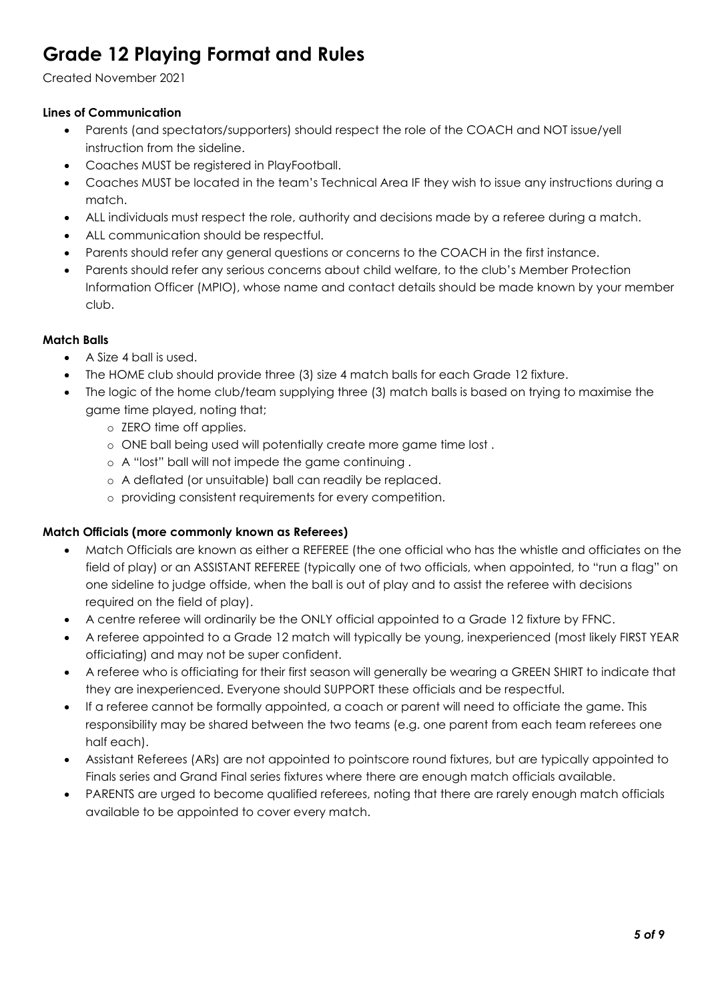Created November 2021

# Lines of Communication

- Parents (and spectators/supporters) should respect the role of the COACH and NOT issue/yell instruction from the sideline.
- Coaches MUST be registered in PlayFootball.
- Coaches MUST be located in the team's Technical Area IF they wish to issue any instructions during a match.
- ALL individuals must respect the role, authority and decisions made by a referee during a match.
- ALL communication should be respectful.
- Parents should refer any general questions or concerns to the COACH in the first instance.
- Parents should refer any serious concerns about child welfare, to the club's Member Protection Information Officer (MPIO), whose name and contact details should be made known by your member club.

## Match Balls

- A Size 4 ball is used.
- The HOME club should provide three (3) size 4 match balls for each Grade 12 fixture.
- The logic of the home club/team supplying three (3) match balls is based on trying to maximise the game time played, noting that;
	- o ZERO time off applies.
	- o ONE ball being used will potentially create more game time lost .
	- o A "lost" ball will not impede the game continuing .
	- o A deflated (or unsuitable) ball can readily be replaced.
	- o providing consistent requirements for every competition.

### Match Officials (more commonly known as Referees)

- Match Officials are known as either a REFEREE (the one official who has the whistle and officiates on the field of play) or an ASSISTANT REFEREE (typically one of two officials, when appointed, to "run a flag" on one sideline to judge offside, when the ball is out of play and to assist the referee with decisions required on the field of play).
- A centre referee will ordinarily be the ONLY official appointed to a Grade 12 fixture by FFNC.
- A referee appointed to a Grade 12 match will typically be young, inexperienced (most likely FIRST YEAR officiating) and may not be super confident.
- A referee who is officiating for their first season will generally be wearing a GREEN SHIRT to indicate that they are inexperienced. Everyone should SUPPORT these officials and be respectful.
- If a referee cannot be formally appointed, a coach or parent will need to officiate the game. This responsibility may be shared between the two teams (e.g. one parent from each team referees one half each).
- Assistant Referees (ARs) are not appointed to pointscore round fixtures, but are typically appointed to Finals series and Grand Final series fixtures where there are enough match officials available.
- PARENTS are urged to become qualified referees, noting that there are rarely enough match officials available to be appointed to cover every match.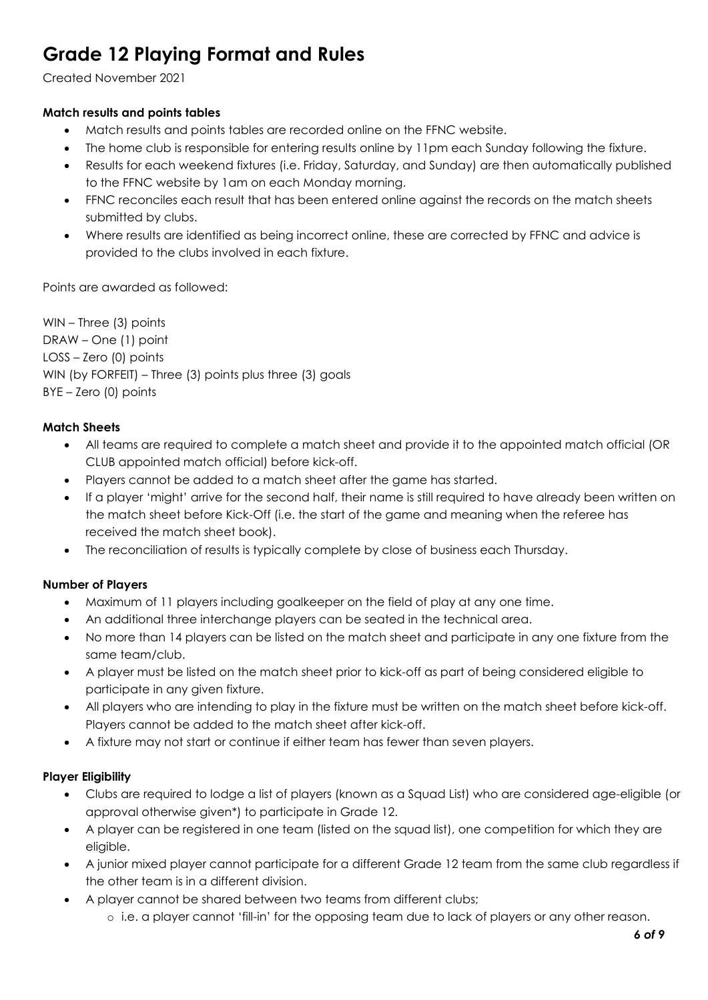Created November 2021

## Match results and points tables

- Match results and points tables are recorded online on the FFNC website.
- The home club is responsible for entering results online by 11pm each Sunday following the fixture.
- Results for each weekend fixtures (i.e. Friday, Saturday, and Sunday) are then automatically published to the FFNC website by 1am on each Monday morning.
- FFNC reconciles each result that has been entered online against the records on the match sheets submitted by clubs.
- Where results are identified as being incorrect online, these are corrected by FFNC and advice is provided to the clubs involved in each fixture.

Points are awarded as followed:

WIN – Three (3) points DRAW – One (1) point LOSS – Zero (0) points WIN (by FORFEIT) – Three (3) points plus three (3) goals BYE – Zero (0) points

## Match Sheets

- All teams are required to complete a match sheet and provide it to the appointed match official (OR CLUB appointed match official) before kick-off.
- Players cannot be added to a match sheet after the game has started.
- If a player 'might' arrive for the second half, their name is still required to have already been written on the match sheet before Kick-Off (i.e. the start of the game and meaning when the referee has received the match sheet book).
- The reconciliation of results is typically complete by close of business each Thursday.

### Number of Players

- Maximum of 11 players including goalkeeper on the field of play at any one time.
- An additional three interchange players can be seated in the technical area.
- No more than 14 players can be listed on the match sheet and participate in any one fixture from the same team/club.
- A player must be listed on the match sheet prior to kick-off as part of being considered eligible to participate in any given fixture.
- All players who are intending to play in the fixture must be written on the match sheet before kick-off. Players cannot be added to the match sheet after kick-off.
- A fixture may not start or continue if either team has fewer than seven players.

### Player Eligibility

- Clubs are required to lodge a list of players (known as a Squad List) who are considered age-eligible (or approval otherwise given\*) to participate in Grade 12.
- A player can be registered in one team (listed on the squad list), one competition for which they are eligible.
- A junior mixed player cannot participate for a different Grade 12 team from the same club regardless if the other team is in a different division.
- A player cannot be shared between two teams from different clubs; o i.e. a player cannot 'fill-in' for the opposing team due to lack of players or any other reason.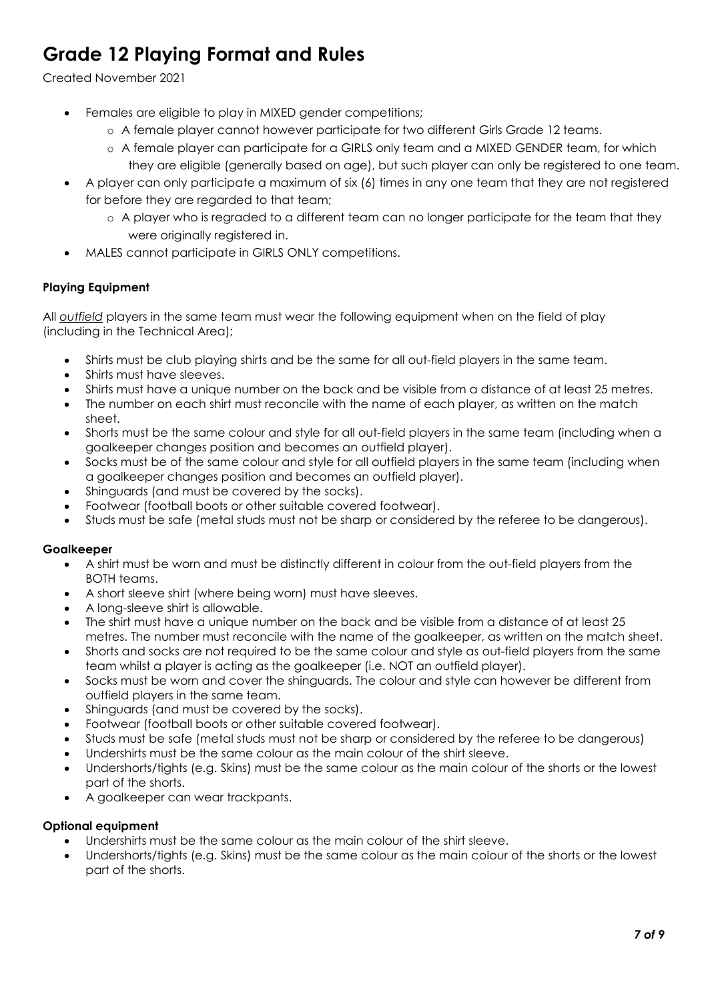# Created November 2021

- Females are eligible to play in MIXED gender competitions;
	- o A female player cannot however participate for two different Girls Grade 12 teams.
	- o A female player can participate for a GIRLS only team and a MIXED GENDER team, for which they are eligible (generally based on age), but such player can only be registered to one team.
- A player can only participate a maximum of six (6) times in any one team that they are not registered for before they are regarded to that team;
	- o A player who is regraded to a different team can no longer participate for the team that they were originally registered in.
- MALES cannot participate in GIRLS ONLY competitions.

## Playing Equipment

All outfield players in the same team must wear the following equipment when on the field of play (including in the Technical Area);

- Shirts must be club playing shirts and be the same for all out-field players in the same team.
- Shirts must have sleeves.
- Shirts must have a unique number on the back and be visible from a distance of at least 25 metres.
- The number on each shirt must reconcile with the name of each player, as written on the match sheet.
- Shorts must be the same colour and style for all out-field players in the same team (including when a goalkeeper changes position and becomes an outfield player).
- Socks must be of the same colour and style for all outfield players in the same team (including when a goalkeeper changes position and becomes an outfield player).
- Shinguards (and must be covered by the socks).
- Footwear (football boots or other suitable covered footwear).
- Studs must be safe (metal studs must not be sharp or considered by the referee to be dangerous).

### Goalkeeper

- A shirt must be worn and must be distinctly different in colour from the out-field players from the BOTH teams.
- A short sleeve shirt (where being worn) must have sleeves.
- A long-sleeve shirt is allowable.
- The shirt must have a unique number on the back and be visible from a distance of at least 25 metres. The number must reconcile with the name of the goalkeeper, as written on the match sheet.
- Shorts and socks are not required to be the same colour and style as out-field players from the same team whilst a player is acting as the goalkeeper (i.e. NOT an outfield player).
- Socks must be worn and cover the shinguards. The colour and style can however be different from outfield players in the same team.
- Shinguards (and must be covered by the socks).
- Footwear (football boots or other suitable covered footwear).
- Studs must be safe (metal studs must not be sharp or considered by the referee to be dangerous)
- Undershirts must be the same colour as the main colour of the shirt sleeve.
- Undershorts/tights (e.g. Skins) must be the same colour as the main colour of the shorts or the lowest part of the shorts.
- A goalkeeper can wear trackpants.

### Optional equipment

- Undershirts must be the same colour as the main colour of the shirt sleeve.
- Undershorts/tights (e.g. Skins) must be the same colour as the main colour of the shorts or the lowest part of the shorts.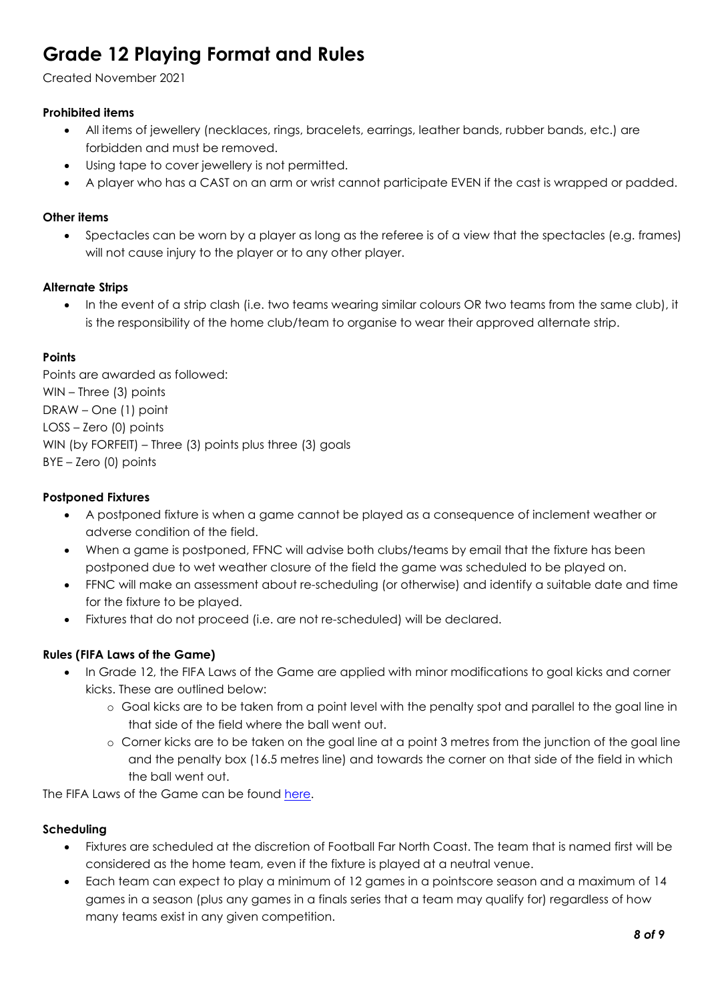Created November 2021

## Prohibited items

- All items of jewellery (necklaces, rings, bracelets, earrings, leather bands, rubber bands, etc.) are forbidden and must be removed.
- Using tape to cover jewellery is not permitted.
- A player who has a CAST on an arm or wrist cannot participate EVEN if the cast is wrapped or padded.

### Other items

 Spectacles can be worn by a player as long as the referee is of a view that the spectacles (e.g. frames) will not cause injury to the player or to any other player.

#### Alternate Strips

 In the event of a strip clash (i.e. two teams wearing similar colours OR two teams from the same club), it is the responsibility of the home club/team to organise to wear their approved alternate strip.

### **Points**

Points are awarded as followed: WIN – Three (3) points DRAW – One (1) point LOSS – Zero (0) points WIN (by FORFEIT) – Three (3) points plus three (3) goals BYE – Zero (0) points

#### Postponed Fixtures

- A postponed fixture is when a game cannot be played as a consequence of inclement weather or adverse condition of the field.
- When a game is postponed, FFNC will advise both clubs/teams by email that the fixture has been postponed due to wet weather closure of the field the game was scheduled to be played on.
- FFNC will make an assessment about re-scheduling (or otherwise) and identify a suitable date and time for the fixture to be played.
- Fixtures that do not proceed (i.e. are not re-scheduled) will be declared.

### Rules (FIFA Laws of the Game)

- In Grade 12, the FIFA Laws of the Game are applied with minor modifications to goal kicks and corner kicks. These are outlined below:
	- o Goal kicks are to be taken from a point level with the penalty spot and parallel to the goal line in that side of the field where the ball went out.
	- o Corner kicks are to be taken on the goal line at a point 3 metres from the junction of the goal line and the penalty box (16.5 metres line) and towards the corner on that side of the field in which the ball went out.

The FIFA Laws of the Game can be found here.

### Scheduling

- Fixtures are scheduled at the discretion of Football Far North Coast. The team that is named first will be considered as the home team, even if the fixture is played at a neutral venue.
- Each team can expect to play a minimum of 12 games in a pointscore season and a maximum of 14 games in a season (plus any games in a finals series that a team may qualify for) regardless of how many teams exist in any given competition.